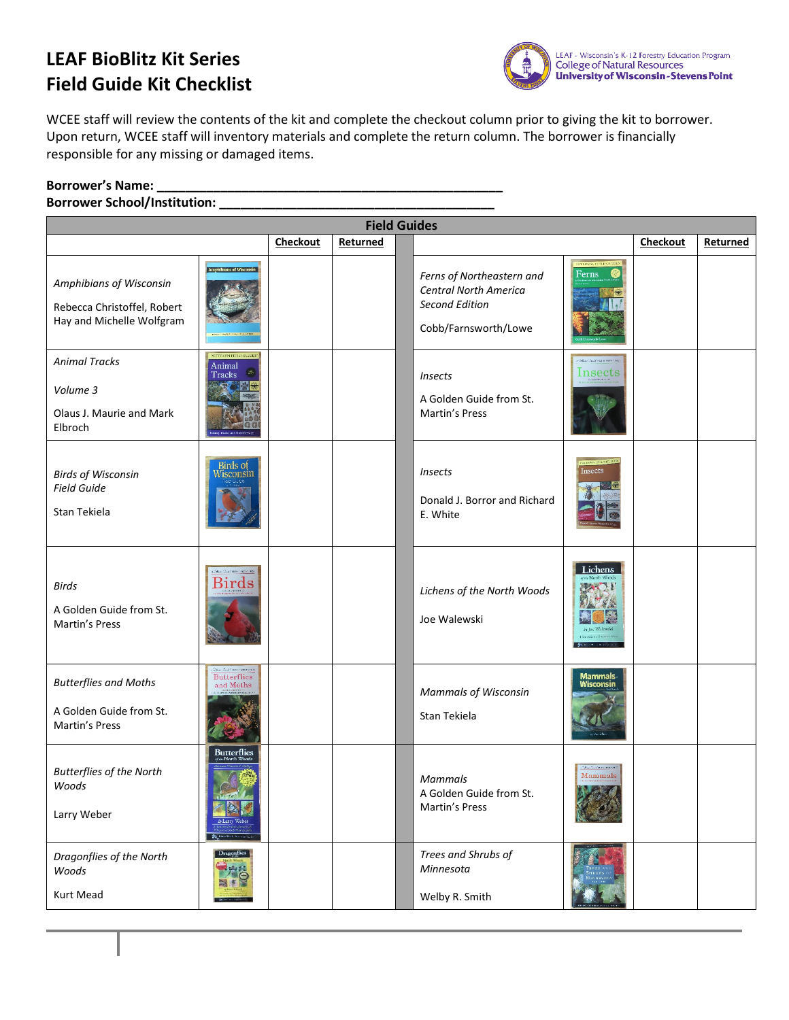## **LEAF BioBlitz Kit Series Field Guide Kit Checklist**



WCEE staff will review the contents of the kit and complete the checkout column prior to giving the kit to borrower. Upon return, WCEE staff will inventory materials and complete the return column. The borrower is financially responsible for any missing or damaged items.

## **Borrower's Name: \_\_\_\_\_\_\_\_\_\_\_\_\_\_\_\_\_\_\_\_\_\_\_\_\_\_\_\_\_\_\_\_\_\_\_\_\_\_\_\_\_\_\_\_\_\_\_\_\_**

## **Borrower School/Institution: \_\_\_\_\_\_\_\_\_\_\_\_\_\_\_\_\_\_\_\_\_\_\_\_\_\_\_\_\_\_\_\_\_\_\_\_\_\_\_**

| <b>Field Guides</b>                                                                 |                                                                                                                                               |          |          |  |                                                                                                     |                                      |          |                 |  |  |  |  |
|-------------------------------------------------------------------------------------|-----------------------------------------------------------------------------------------------------------------------------------------------|----------|----------|--|-----------------------------------------------------------------------------------------------------|--------------------------------------|----------|-----------------|--|--|--|--|
|                                                                                     |                                                                                                                                               | Checkout | Returned |  |                                                                                                     |                                      | Checkout | <b>Returned</b> |  |  |  |  |
| Amphibians of Wisconsin<br>Rebecca Christoffel, Robert<br>Hay and Michelle Wolfgram | Amphibians of Wiscon                                                                                                                          |          |          |  | Ferns of Northeastern and<br>Central North America<br><b>Second Edition</b><br>Cobb/Farnsworth/Lowe | Ferns                                |          |                 |  |  |  |  |
| <b>Animal Tracks</b><br>Volume 3<br>Olaus J. Maurie and Mark<br>Elbroch             | Animal<br>Tracks                                                                                                                              |          |          |  | <i><b>Insects</b></i><br>A Golden Guide from St.<br>Martin's Press                                  | Guakhaan werness<br>Insects          |          |                 |  |  |  |  |
| <b>Birds of Wisconsin</b><br><b>Field Guide</b><br>Stan Tekiela                     | Birds of<br>Wisconsin                                                                                                                         |          |          |  | <i><b>Insects</b></i><br>Donald J. Borror and Richard<br>E. White                                   | Insects                              |          |                 |  |  |  |  |
| <b>Birds</b><br>A Golden Guide from St.<br><b>Martin's Press</b>                    | .<br>Общ. Спатан с менения<br><b>Birds</b>                                                                                                    |          |          |  | Lichens of the North Woods<br>Joe Walewski                                                          | Lichens                              |          |                 |  |  |  |  |
| <b>Butterflies and Moths</b><br>A Golden Guide from St.<br><b>Martin's Press</b>    | Colonic Could from the american<br><b>Butterflies</b><br>and Moths                                                                            |          |          |  | <b>Mammals of Wisconsin</b><br>Stan Tekiela                                                         | Mammals<br>Wisconsin                 |          |                 |  |  |  |  |
| <b>Butterflies of the North</b><br>Woods<br>Larry Weber                             | <b>Butterflies</b><br>$\frac{1}{\sqrt{2\pi}}\lim_{n\to\infty}\lim_{n\to\infty}\Re\left(\partial_n\left(\partial_n\right)\right)\Psi_n\right)$ |          |          |  | Mammals<br>A Golden Guide from St.<br>Martin's Press                                                | <b>Charlachers</b> enviro<br>Mammals |          |                 |  |  |  |  |
| Dragonflies of the North<br>Woods<br>Kurt Mead                                      | Dragonlies                                                                                                                                    |          |          |  | Trees and Shrubs of<br>Minnesota<br>Welby R. Smith                                                  |                                      |          |                 |  |  |  |  |